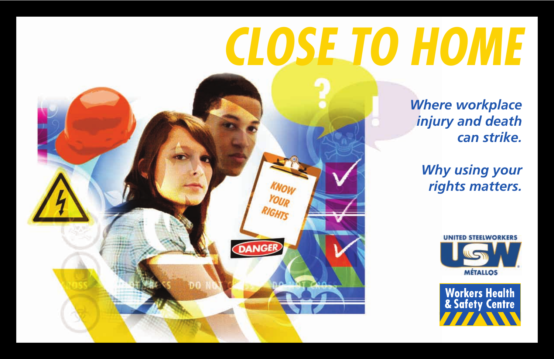# *CLOSE TO HOME*

**DANGER** 

*Where workplace injury and death can strike.*

*Why using your rights matters.*



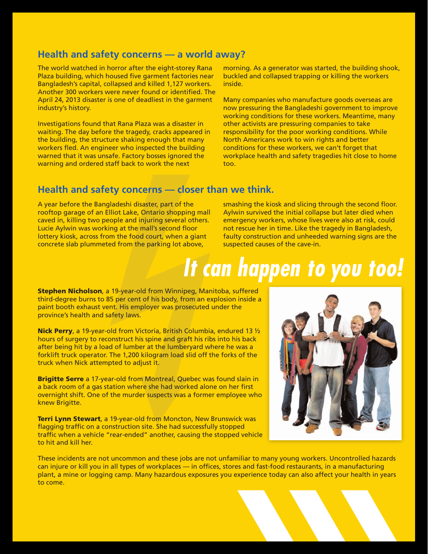# **Health and safety concerns — a world away?**

The world watched in horror after the eight-storey Rana Plaza building, which housed five garment factories near Bangladesh's capital, collapsed and killed 1,127 workers. Another 300 workers were never found or identified. The April 24, 2013 disaster is one of deadliest in the garment industry's history.

Investigations found that Rana Plaza was a disaster in waiting. The day before the tragedy, cracks appeared in the building, the structure shaking enough that many workers fled. An engineer who inspected the building warned that it was unsafe. Factory bosses ignored the warning and ordered staff back to work the next

morning. As a generator was started, the building shook, buckled and collapsed trapping or killing the workers inside.

Many companies who manufacture goods overseas are now pressuring the Bangladeshi government to improve working conditions for these workers. Meantime, many other activists are pressuring companies to take responsibility for the poor working conditions. While North Americans work to win rights and better conditions for these workers, we can't forget that workplace health and safety tragedies hit close to home too.

# **Health and safety concerns — closer than we think.**

A year before the Bangladeshi disaster, part of the rooftop garage of an Elliot Lake, Ontario shopping mall caved in, killing two people and injuring several others. Lucie Aylwin was working at the mall's second floor lottery kiosk, across from the food court, when a giant concrete slab plummeted from the parking lot above,

smashing the kiosk and slicing through the second floor. Aylwin survived the initial collapse but later died when emergency workers, whose lives were also at risk, could not rescue her in time. Like the tragedy in Bangladesh, faulty construction and unheeded warning signs are the suspected causes of the cave-in.

# *It can happen to you too!*

**Stephen Nicholson**, a 19-year-old from Winnipeg, Manitoba, suffered third-degree burns to 85 per cent of his body, from an explosion inside a paint booth exhaust vent. His employer was prosecuted under the province's health and safety laws.

**Nick Perry**, a 19-year-old from Victoria, British Columbia, endured 13 ½ hours of surgery to reconstruct his spine and graft his ribs into his back after being hit by a load of lumber at the lumberyard where he was a forklift truck operator. The 1,200 kilogram load slid off the forks of the truck when Nick attempted to adjust it.

**Brigitte Serre** a 17-year-old from Montreal, Quebec was found slain in a back room of a gas station where she had worked alone on her first overnight shift. One of the murder suspects was a former employee who knew Brigitte.

**Terri Lynn Stewart**, a 19-year-old from Moncton, New Brunswick was flagging traffic on a construction site. She had successfully stopped traffic when a vehicle "rear-ended" another, causing the stopped vehicle to hit and kill her.



These incidents are not uncommon and these jobs are not unfamiliar to many young workers. Uncontrolled hazards can injure or kill you in all types of workplaces — in offices, stores and fast-food restaurants, in a manufacturing plant, a mine or logging camp. Many hazardous exposures you experience today can also affect your health in years to come.

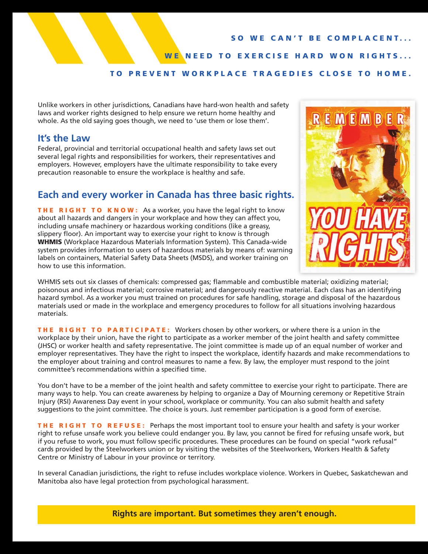### **SO WE CAN'T BE COMPLACENT...**

**WE NEED TO EXERCISE HARD WON RIGHTS...** 

## **TO PREVENT WORKPLACE TRAGEDIES CLOSE TO HOME.**

Unlike workers in other jurisdictions, Canadians have hard-won health and safety laws and worker rights designed to help ensure we return home healthy and whole. As the old saying goes though, we need to 'use them or lose them'.

## **It's the Law**

Federal, provincial and territorial occupational health and safety laws set out several legal rights and responsibilities for workers, their representatives and employers. However, employers have the ultimate responsibility to take every precaution reasonable to ensure the workplace is healthy and safe.

## **Each and every worker in Canada has three basic rights.**

**THE RIGHT TO KNOW:** As a worker, you have the legal right to know about all hazards and dangers in your workplace and how they can affect you, including unsafe machinery or hazardous working conditions (like a greasy, slippery floor). An important way to exercise your right to know is through **WHMIS** (Workplace Hazardous Materials Information System). This Canada-wide system provides information to users of hazardous materials by means of: warning labels on containers, Material Safety Data Sheets (MSDS), and worker training on how to use this information.



WHMIS sets out six classes of chemicals: compressed gas; flammable and combustible material; oxidizing material; poisonous and infectious material; corrosive material; and dangerously reactive material. Each class has an identifying hazard symbol. As a worker you must trained on procedures for safe handling, storage and disposal of the hazardous materials used or made in the workplace and emergency procedures to follow for all situations involving hazardous materials.

**THE RIGHT TO PARTICIPATE:** Workers chosen by other workers, or where there is a union in the workplace by their union, have the right to participate as a worker member of the joint health and safety committee (JHSC) or worker health and safety representative. The joint committee is made up of an equal number of worker and employer representatives. They have the right to inspect the workplace, identify hazards and make recommendations to the employer about training and control measures to name a few. By law, the employer must respond to the joint committee's recommendations within a specified time.

You don't have to be a member of the joint health and safety committee to exercise your right to participate. There are many ways to help. You can create awareness by helping to organize a Day of Mourning ceremony or Repetitive Strain Injury (RSI) Awareness Day event in your school, workplace or community. You can also submit health and safety suggestions to the joint committee. The choice is yours. Just remember participation is a good form of exercise.

**THE RIGHT TO REFUSE:** Perhaps the most important tool to ensure your health and safety is your worker right to refuse unsafe work you believe could endanger you. By law, you cannot be fired for refusing unsafe work, but if you refuse to work, you must follow specific procedures. These procedures can be found on special "work refusal" cards provided by the Steelworkers union or by visiting the websites of the Steelworkers, Workers Health & Safety Centre or Ministry of Labour in your province or territory.

In several Canadian jurisdictions, the right to refuse includes workplace violence. Workers in Quebec, Saskatchewan and Manitoba also have legal protection from psychological harassment.

**Rights are important. But sometimes they aren't enough.**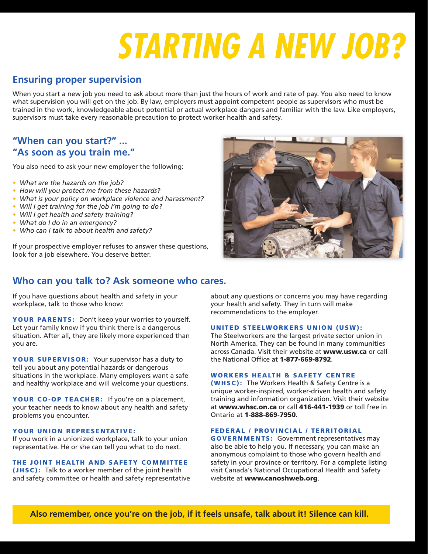# *STARTING A NEW JOB?*

### **Ensuring proper supervision**

When you start a new job you need to ask about more than just the hours of work and rate of pay. You also need to know what supervision you will get on the job. By law, employers must appoint competent people as supervisors who must be trained in the work, knowledgeable about potential or actual workplace dangers and familiar with the law. Like employers, supervisors must take every reasonable precaution to protect worker health and safety.

#### **"When can you start?" ... "As soon as you train me."**

You also need to ask your new employer the following:

- *• What are the hazards on the job?*
- *• How will you protect me from these hazards?*
- *• What is your policy on workplace violence and harassment?*
- *• Will I get training for the job I'm going to do?*
- *• Will I get health and safety training?*
- *• What do I do in an emergency?*
- *• Who can I talk to about health and safety?*

If your prospective employer refuses to answer these questions, look for a job elsewhere. You deserve better.



#### **Who can you talk to? Ask someone who cares.**

If you have questions about health and safety in your workplace, talk to those who know:

**YOUR PARENTS:** Don't keep your worries to yourself. Let your family know if you think there is a dangerous situation. After all, they are likely more experienced than you are.

**YOUR SUPER VISOR:** Your supervisor has a duty to tell you about any potential hazards or dangerous situations in the workplace. Many employers want a safe and healthy workplace and will welcome your questions.

**YOUR CO-OP TEACHER:** If you're on a placement, your teacher needs to know about any health and safety problems you encounter.

#### **YOUR UNION REPRESENTATIVE:**

If you work in a unionized workplace, talk to your union representative. He or she can tell you what to do next.

#### **THE JOINT HEALTH AND SAFETY COMMITTEE**

**(JHSC):** Talk to a worker member of the joint health and safety committee or health and safety representative about any questions or concerns you may have regarding your health and safety. They in turn will make recommendations to the employer.

#### **UNITED STEELWORKERS UNION (USW):**

The Steelworkers are the largest private sector union in North America. They can be found in many communities across Canada. Visit their website at **www.usw.ca** or call the National Office at **1-877-669-8792**.

#### **WORKERS HEALTH & SAFETY CENTRE**

**(WHSC):** The Workers Health & Safety Centre is a unique worker-inspired, worker-driven health and safety training and information organization. Visit their website at **www.whsc.on.ca** or call **416-441-1939** or toll free in Ontario at **1-888-869-7950**.

#### **FEDERAL / PROVINCIAL / TERRITORIAL**

**GOVERNMENTS:** Government representatives may also be able to help you. If necessary, you can make an anonymous complaint to those who govern health and safety in your province or territory. For a complete listing visit Canada's National Occupational Health and Safety website at **www.canoshweb.org**.